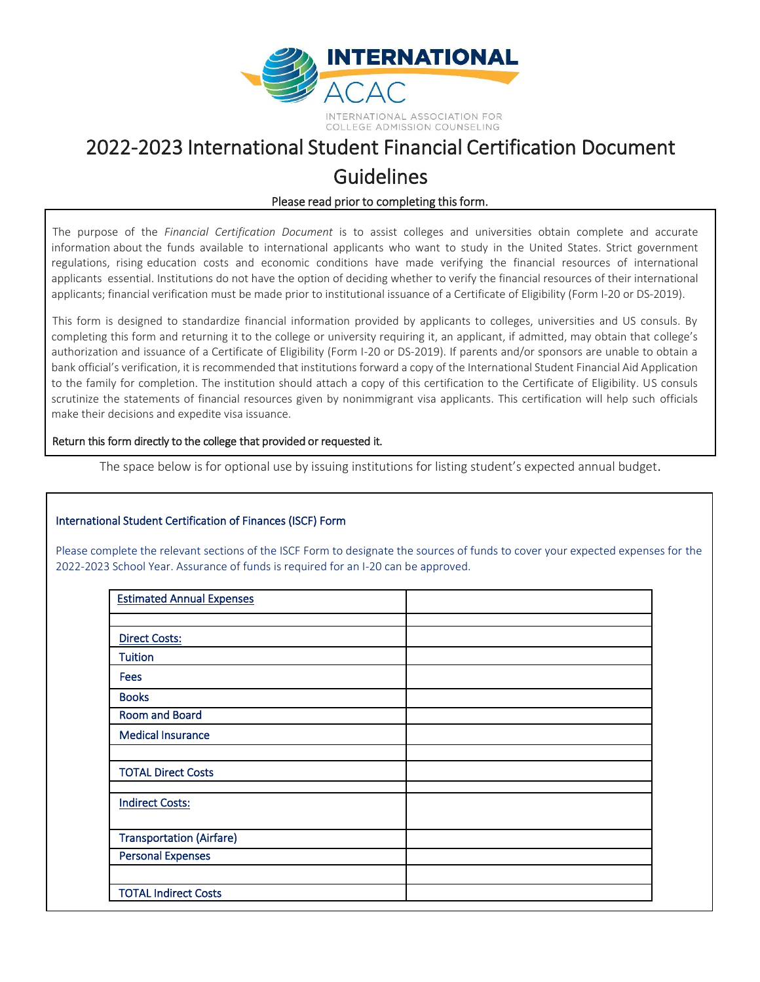

## 2022-2023 International Student Financial Certification Document Guidelines

## Please read prior to completing this form.

The purpose of the *Financial Certification Document* is to assist colleges and universities obtain complete and accurate information about the funds available to international applicants who want to study in the United States. Strict government regulations, rising education costs and economic conditions have made verifying the financial resources of international applicants essential. Institutions do not have the option of deciding whether to verify the financial resources of their international applicants; financial verification must be made prior to institutional issuance of a Certificate of Eligibility (Form I-20 or DS-2019).

This form is designed to standardize financial information provided by applicants to colleges, universities and US consuls. By completing this form and returning it to the college or university requiring it, an applicant, if admitted, may obtain that college's authorization and issuance of a Certificate of Eligibility (Form I-20 or DS-2019). If parents and/or sponsors are unable to obtain a bank official's verification, it is recommended that institutions forward a copy of the International Student Financial Aid Application to the family for completion. The institution should attach a copy of this certification to the Certificate of Eligibility. US consuls scrutinize the statements of financial resources given by nonimmigrant visa applicants. This certification will help such officials make their decisions and expedite visa issuance.

## Return this form directly to the college that provided or requested it.

The space below is for optional use by issuing institutions for listing student's expected annual budget.

## International Student Certification of Finances (ISCF) Form

Please complete the relevant sections of the ISCF Form to designate the sources of funds to cover your expected expenses for the 2022-2023 School Year. Assurance of funds is required for an I-20 can be approved.

| <b>Estimated Annual Expenses</b> |  |
|----------------------------------|--|
|                                  |  |
| <b>Direct Costs:</b>             |  |
| <b>Tuition</b>                   |  |
| <b>Fees</b>                      |  |
| <b>Books</b>                     |  |
| <b>Room and Board</b>            |  |
| <b>Medical Insurance</b>         |  |
|                                  |  |
| <b>TOTAL Direct Costs</b>        |  |
|                                  |  |
| <b>Indirect Costs:</b>           |  |
|                                  |  |
| <b>Transportation (Airfare)</b>  |  |
| <b>Personal Expenses</b>         |  |
|                                  |  |
| <b>TOTAL Indirect Costs</b>      |  |